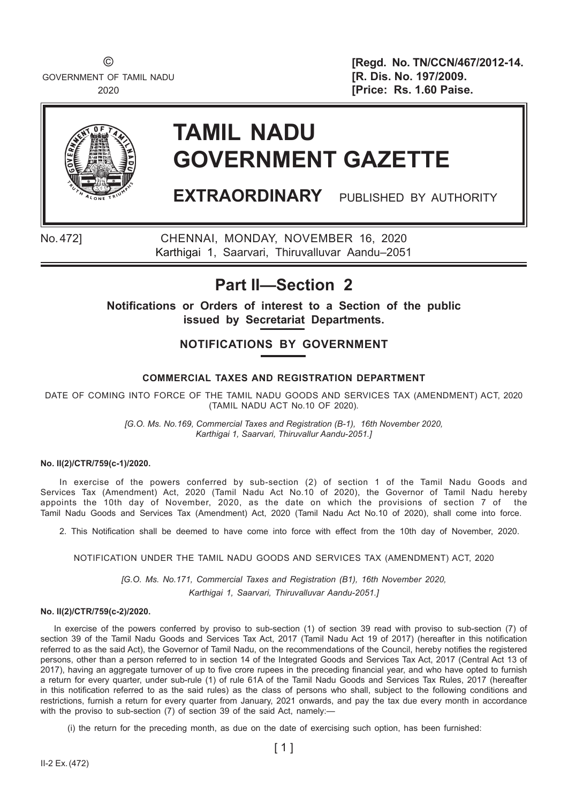GOVERNMENT OF TAMIL NADU **1999 1999 1999 1991/2009. 197/2009.** 

© **[Regd. No. TN/CCN/467/2012-14.** 2020 **[Price: Rs. 1.60 Paise.** 



# **TAMIL NADU GOVERNMENT GAZETTE**

**EXTRAORDINARY** PUBLISHED BY AUTHORITY

No. 472] CHENNAI, MONDAY, NOVEMBER 16, 2020 Karthigai 1, Saarvari, Thiruvalluvar Aandu–2051

# **Part II—Section 2**

**Notifi cations or Orders of interest to a Section of the public issued by Secretariat Departments.**

### **NOTIFICATIONS BY GOVERNMENT**

#### **COMMERCIAL TAXES AND REGISTRATION DEPARTMENT**

DATE OF COMING INTO FORCE OF THE TAMIL NADU GOODS AND SERVICES TAX (AMENDMENT) ACT, 2020 (TAMIL NADU ACT No.10 OF 2020).

> *[G.O. Ms. No.169, Commercial Taxes and Registration (B-1), 16th November 2020, Karthigai 1, Saarvari, Thiruvallur Aandu-2051.]*

#### **No. II(2)/CTR/759(c-1)/2020.**

In exercise of the powers conferred by sub-section (2) of section 1 of the Tamil Nadu Goods and Services Tax (Amendment) Act, 2020 (Tamil Nadu Act No.10 of 2020), the Governor of Tamil Nadu hereby appoints the 10th day of November, 2020, as the date on which the provisions of section 7 of the Tamil Nadu Goods and Services Tax (Amendment) Act, 2020 (Tamil Nadu Act No.10 of 2020), shall come into force.

2. This Notification shall be deemed to have come into force with effect from the 10th day of November, 2020.

#### NOTIFICATION UNDER THE TAMIL NADU GOODS AND SERVICES TAX (AMENDMENT) ACT, 2020

*[G.O. Ms. No.171, Commercial Taxes and Registration (B1), 16th November 2020, Karthigai 1, Saarvari, Thiruvalluvar Aandu-2051.]*

#### **No. II(2)/CTR/759(c-2)/2020.**

In exercise of the powers conferred by proviso to sub-section (1) of section 39 read with proviso to sub-section (7) of section 39 of the Tamil Nadu Goods and Services Tax Act, 2017 (Tamil Nadu Act 19 of 2017) (hereafter in this notification referred to as the said Act), the Governor of Tamil Nadu, on the recommendations of the Council, hereby notifies the registered persons, other than a person referred to in section 14 of the Integrated Goods and Services Tax Act, 2017 (Central Act 13 of 2017), having an aggregate turnover of up to five crore rupees in the preceding financial year, and who have opted to furnish a return for every quarter, under sub-rule (1) of rule 61A of the Tamil Nadu Goods and Services Tax Rules, 2017 (hereafter in this notification referred to as the said rules) as the class of persons who shall, subject to the following conditions and restrictions, furnish a return for every quarter from January, 2021 onwards, and pay the tax due every month in accordance with the proviso to sub-section (7) of section 39 of the said Act, namely:-

(i) the return for the preceding month, as due on the date of exercising such option, has been furnished: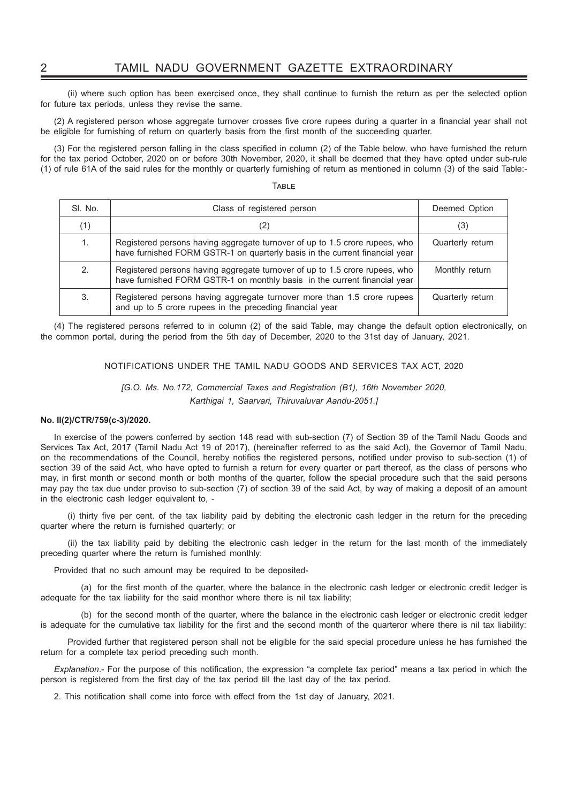(ii) where such option has been exercised once, they shall continue to furnish the return as per the selected option for future tax periods, unless they revise the same.

(2) A registered person whose aggregate turnover crosses five crore rupees during a quarter in a financial year shall not be eligible for furnishing of return on quarterly basis from the first month of the succeeding quarter.

(3) For the registered person falling in the class specified in column (2) of the Table below, who have furnished the return for the tax period October, 2020 on or before 30th November, 2020, it shall be deemed that they have opted under sub-rule (1) of rule 61A of the said rules for the monthly or quarterly furnishing of return as mentioned in column (3) of the said Table:-

TABLE

| SI. No. | Class of registered person                                                                                                                                 | Deemed Option    |
|---------|------------------------------------------------------------------------------------------------------------------------------------------------------------|------------------|
| (1)     | (2)                                                                                                                                                        | (3)              |
| 1.      | Registered persons having aggregate turnover of up to 1.5 crore rupees, who<br>have furnished FORM GSTR-1 on quarterly basis in the current financial year | Quarterly return |
| 2.      | Registered persons having aggregate turnover of up to 1.5 crore rupees, who<br>have furnished FORM GSTR-1 on monthly basis in the current financial year   | Monthly return   |
| 3.      | Registered persons having aggregate turnover more than 1.5 crore rupees<br>and up to 5 crore rupees in the preceding financial year                        | Quarterly return |

(4) The registered persons referred to in column (2) of the said Table, may change the default option electronically, on the common portal, during the period from the 5th day of December, 2020 to the 31st day of January, 2021.

#### NOTIFICATIONS UNDER THE TAMIL NADU GOODS AND SERVICES TAX ACT, 2020

#### *[G.O. Ms. No.172, Commercial Taxes and Registration (B1), 16th November 2020, Karthigai 1, Saarvari, Thiruvaluvar Aandu-2051.]*

#### **No. II(2)/CTR/759(c-3)/2020.**

In exercise of the powers conferred by section 148 read with sub-section (7) of Section 39 of the Tamil Nadu Goods and Services Tax Act, 2017 (Tamil Nadu Act 19 of 2017), (hereinafter referred to as the said Act), the Governor of Tamil Nadu, on the recommendations of the Council, hereby notifies the registered persons, notified under proviso to sub-section (1) of section 39 of the said Act, who have opted to furnish a return for every quarter or part thereof, as the class of persons who may, in first month or second month or both months of the quarter, follow the special procedure such that the said persons may pay the tax due under proviso to sub-section (7) of section 39 of the said Act, by way of making a deposit of an amount in the electronic cash ledger equivalent to, -

(i) thirty five per cent. of the tax liability paid by debiting the electronic cash ledger in the return for the preceding quarter where the return is furnished quarterly; or

 (ii) the tax liability paid by debiting the electronic cash ledger in the return for the last month of the immediately preceding quarter where the return is furnished monthly:

Provided that no such amount may be required to be deposited-

(a) for the first month of the quarter, where the balance in the electronic cash ledger or electronic credit ledger is adequate for the tax liability for the said monthor where there is nil tax liability;

 (b) for the second month of the quarter, where the balance in the electronic cash ledger or electronic credit ledger is adequate for the cumulative tax liability for the first and the second month of the quarteror where there is nil tax liability:

 Provided further that registered person shall not be eligible for the said special procedure unless he has furnished the return for a complete tax period preceding such month.

*Explanation* .- For the purpose of this notification, the expression "a complete tax period" means a tax period in which the person is registered from the first day of the tax period till the last day of the tax period.

2. This notification shall come into force with effect from the 1st day of January, 2021.